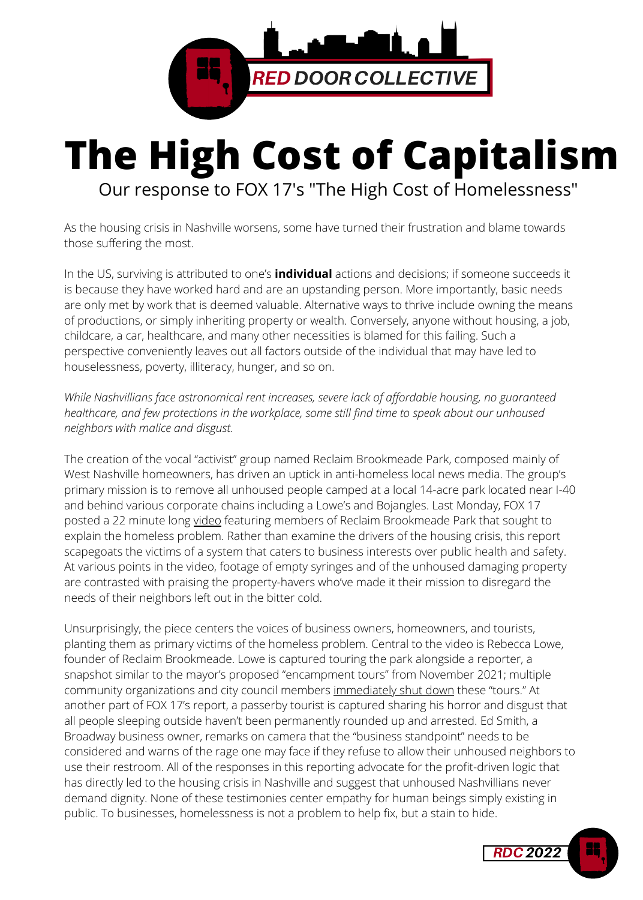

## **The High Cost of Capitalism** Our response to FOX 17's "The High Cost of Homelessness"

As the housing crisis in Nashville worsens, some have turned their frustration and blame towards those suffering the most.

In the US, surviving is attributed to one's **individual** actions and decisions; if someone succeeds it is because they have worked hard and are an upstanding person. More importantly, basic needs are only met by work that is deemed valuable. Alternative ways to thrive include owning the means of productions, or simply inheriting property or wealth. Conversely, anyone without housing, a job, childcare, a car, healthcare, and many other necessities is blamed for this failing. Such a perspective conveniently leaves out all factors outside of the individual that may have led to houselessness, poverty, illiteracy, hunger, and so on.

*While Nashvillians face astronomical rent increases, severe lack of affordable housing, no guaranteed healthcare, and few protections in the workplace, some still find time to speak about our unhoused neighbors with malice and disgust.*

The creation of the vocal "activist" group named Reclaim Brookmeade Park, composed mainly of West Nashville homeowners, has driven an uptick in anti-homeless local news media. The group's primary mission is to remove all unhoused people camped at a local 14-acre park located near I-40 and behind various corporate chains including a Lowe's and Bojangles. Last Monday, FOX 17 posted a 22 minute long [video](https://fox17.com/news/local/fox-17-news-special-coverage-the-high-cost-of-homelessness-nashville-tennessee) featuring members of Reclaim Brookmeade Park that sought to explain the homeless problem. Rather than examine the drivers of the housing crisis, this report scapegoats the victims of a system that caters to business interests over public health and safety. At various points in the video, footage of empty syringes and of the unhoused damaging property are contrasted with praising the property-havers who've made it their mission to disregard the needs of their neighbors left out in the bitter cold.

Unsurprisingly, the piece centers the voices of business owners, homeowners, and tourists, planting them as primary victims of the homeless problem. Central to the video is Rebecca Lowe, founder of Reclaim Brookmeade. Lowe is captured touring the park alongside a reporter, a snapshot similar to the mayor's proposed "encampment tours" from November 2021; multiple community organizations and city council members [immediately shut down](https://www.tennessean.com/story/news/local/davidson/2021/11/09/mayor-john-coopers-office-draws-ire-arranging-homeless-camp-visits/6345971001/) these "tours." At another part of FOX 17's report, a passerby tourist is captured sharing his horror and disgust that all people sleeping outside haven't been permanently rounded up and arrested. Ed Smith, a Broadway business owner, remarks on camera that the "business standpoint" needs to be considered and warns of the rage one may face if they refuse to allow their unhoused neighbors to use their restroom. All of the responses in this reporting advocate for the profit-driven logic that has directly led to the housing crisis in Nashville and suggest that unhoused Nashvillians never demand dignity. None of these testimonies center empathy for human beings simply existing in public. To businesses, homelessness is not a problem to help fix, but a stain to hide.